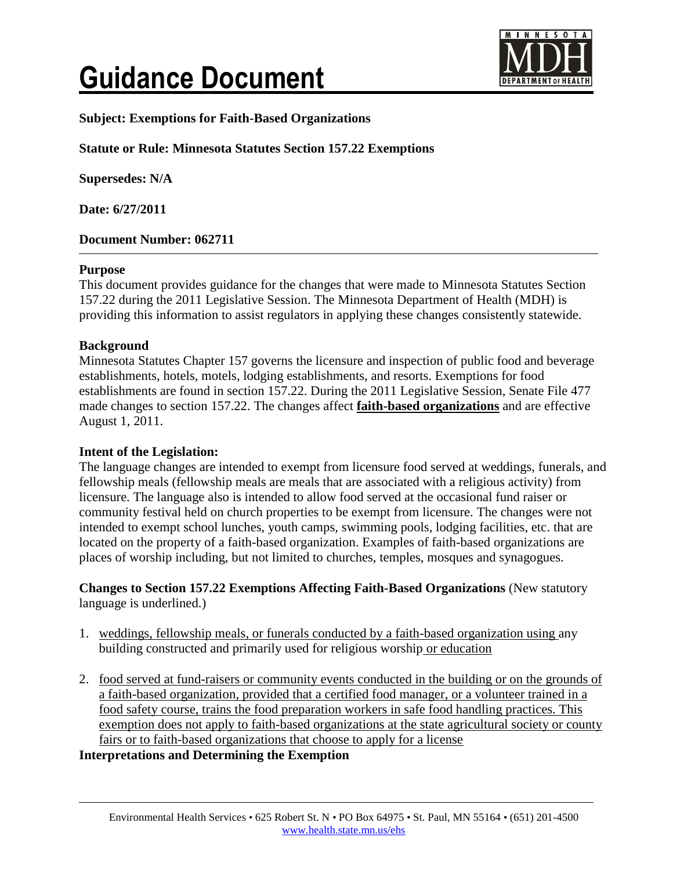# **Guidance Document**



# **Subject: Exemptions for Faith-Based Organizations**

# **Statute or Rule: Minnesota Statutes Section 157.22 Exemptions**

**Supersedes: N/A**

**Date: 6/27/2011**

## **Document Number: 062711**

#### **Purpose**

This document provides guidance for the changes that were made to Minnesota Statutes Section 157.22 during the 2011 Legislative Session. The Minnesota Department of Health (MDH) is providing this information to assist regulators in applying these changes consistently statewide.

## **Background**

Minnesota Statutes Chapter 157 governs the licensure and inspection of public food and beverage establishments, hotels, motels, lodging establishments, and resorts. Exemptions for food establishments are found in section 157.22. During the 2011 Legislative Session, Senate File 477 made changes to section 157.22. The changes affect **faith-based organizations** and are effective August 1, 2011.

#### **Intent of the Legislation:**

The language changes are intended to exempt from licensure food served at weddings, funerals, and fellowship meals (fellowship meals are meals that are associated with a religious activity) from licensure. The language also is intended to allow food served at the occasional fund raiser or community festival held on church properties to be exempt from licensure. The changes were not intended to exempt school lunches, youth camps, swimming pools, lodging facilities, etc. that are located on the property of a faith-based organization. Examples of faith-based organizations are places of worship including, but not limited to churches, temples, mosques and synagogues.

## **Changes to Section 157.22 Exemptions Affecting Faith-Based Organizations** (New statutory language is underlined.)

- 1. weddings, fellowship meals, or funerals conducted by a faith-based organization using any building constructed and primarily used for religious worship or education
- 2. food served at fund-raisers or community events conducted in the building or on the grounds of a faith-based organization, provided that a certified food manager, or a volunteer trained in a food safety course, trains the food preparation workers in safe food handling practices. This exemption does not apply to faith-based organizations at the state agricultural society or county fairs or to faith-based organizations that choose to apply for a license

**Interpretations and Determining the Exemption**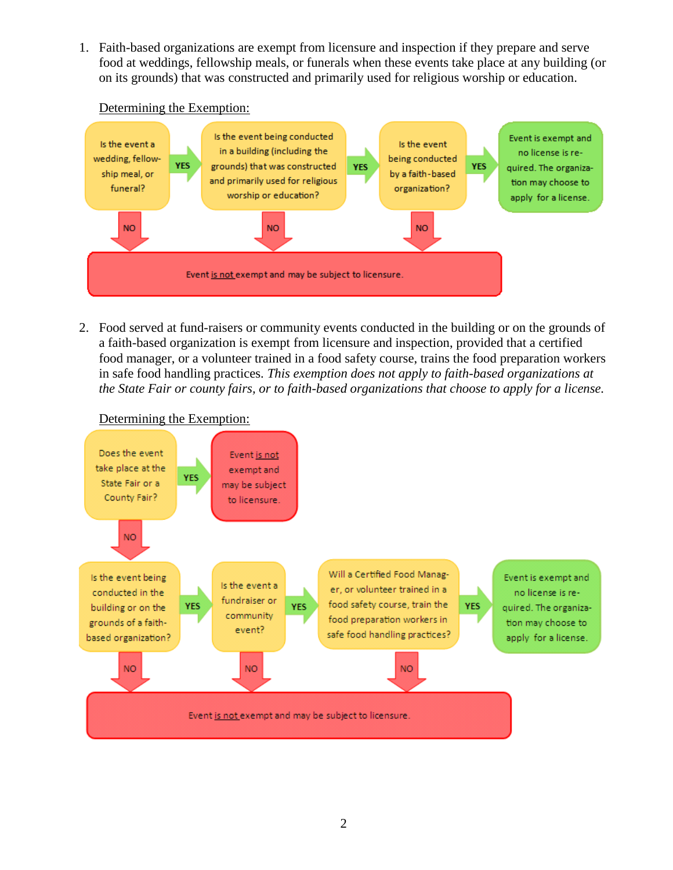1. Faith-based organizations are exempt from licensure and inspection if they prepare and serve food at weddings, fellowship meals, or funerals when these events take place at any building (or on its grounds) that was constructed and primarily used for religious worship or education.



Determining the Exemption:

2. Food served at fund-raisers or community events conducted in the building or on the grounds of a faith-based organization is exempt from licensure and inspection, provided that a certified food manager, or a volunteer trained in a food safety course, trains the food preparation workers in safe food handling practices. *This exemption does not apply to faith-based organizations at the State Fair or county fairs, or to faith-based organizations that choose to apply for a license.*



# Determining the Exemption: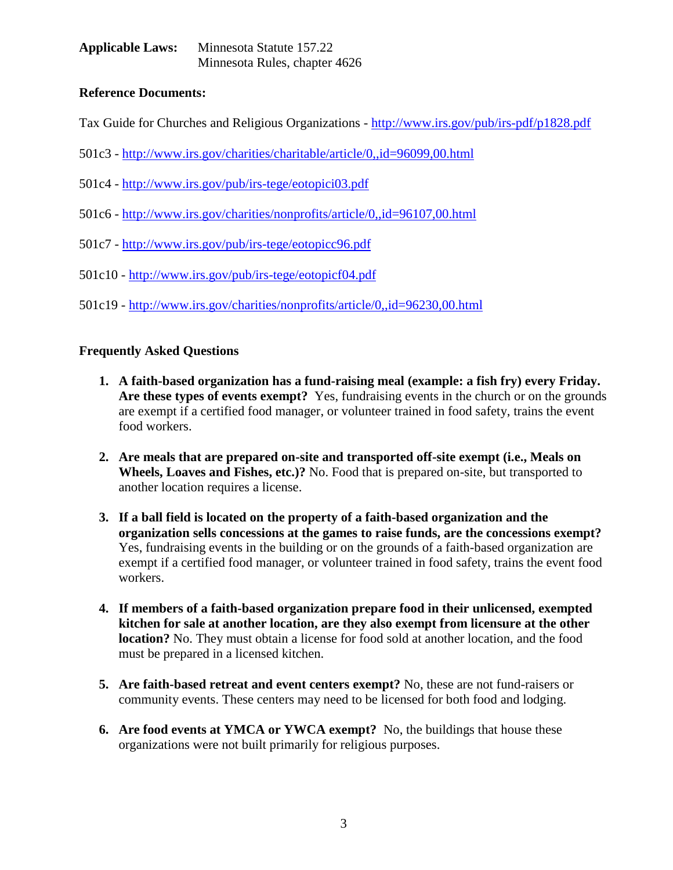**Applicable Laws:** Minnesota Statute 157.22 Minnesota Rules, chapter 4626

# **Reference Documents:**

Tax Guide for Churches and Religious Organizations - <http://www.irs.gov/pub/irs-pdf/p1828.pdf>

- 501c3 <http://www.irs.gov/charities/charitable/article/0,,id=96099,00.html>
- 501c4 <http://www.irs.gov/pub/irs-tege/eotopici03.pdf>
- 501c6 <http://www.irs.gov/charities/nonprofits/article/0,,id=96107,00.html>
- 501c7 <http://www.irs.gov/pub/irs-tege/eotopicc96.pdf>
- 501c10 <http://www.irs.gov/pub/irs-tege/eotopicf04.pdf>
- 501c19 <http://www.irs.gov/charities/nonprofits/article/0,,id=96230,00.html>

# **Frequently Asked Questions**

- **1. A faith-based organization has a fund-raising meal (example: a fish fry) every Friday. Are these types of events exempt?** Yes, fundraising events in the church or on the grounds are exempt if a certified food manager, or volunteer trained in food safety, trains the event food workers.
- **2. Are meals that are prepared on-site and transported off-site exempt (i.e., Meals on Wheels, Loaves and Fishes, etc.)?** No. Food that is prepared on-site, but transported to another location requires a license.
- **3. If a ball field is located on the property of a faith-based organization and the organization sells concessions at the games to raise funds, are the concessions exempt?**  Yes, fundraising events in the building or on the grounds of a faith-based organization are exempt if a certified food manager, or volunteer trained in food safety, trains the event food workers.
- **4. If members of a faith-based organization prepare food in their unlicensed, exempted kitchen for sale at another location, are they also exempt from licensure at the other location?** No. They must obtain a license for food sold at another location, and the food must be prepared in a licensed kitchen.
- **5. Are faith-based retreat and event centers exempt?** No, these are not fund-raisers or community events. These centers may need to be licensed for both food and lodging.
- **6. Are food events at YMCA or YWCA exempt?** No, the buildings that house these organizations were not built primarily for religious purposes.